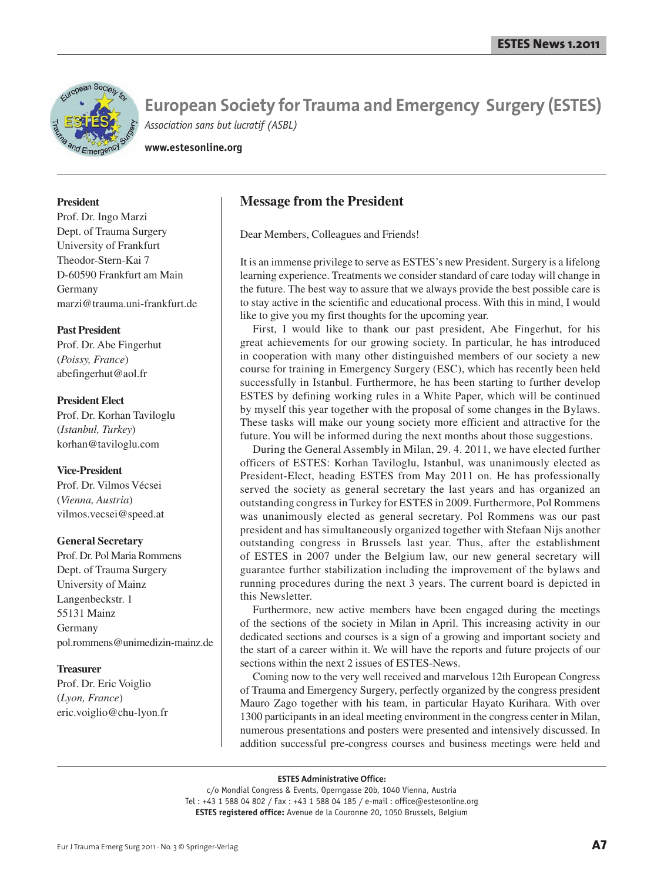

**www.estesonline.org**

# **President**

Prof. Dr. Ingo Marzi Dept. of Trauma Surgery University of Frankfurt Theodor-Stern-Kai 7 D-60590 Frankfurt am Main Germany marzi@trauma.uni-frankfurt.de

# **Past President**

Prof. Dr. Abe Fingerhut (*Poissy, France*) abefingerhut@aol.fr

# **President Elect**

Prof. Dr. Korhan Taviloglu (*Istanbul, Turkey*) korhan@taviloglu.com

# **Vice-President**

Prof. Dr. Vilmos Vécsei (*Vienna, Austria*) vilmos.vecsei@speed.at

## **General Secretary**

Prof. Dr. Pol Maria Rommens Dept. of Trauma Surgery University of Mainz Langenbeckstr. 1 55131 Mainz Germany pol.rommens@unimedizin-mainz.de

## **Treasurer**

Prof. Dr. Eric Voiglio (*Lyon, France*) eric.voiglio@chu-lyon.fr

# **Message from the President**

Dear Members, Colleagues and Friends!

It is an immense privilege to serve as ESTES's new President. Surgery is a lifelong learning experience. Treatments we consider standard of care today will change in the future. The best way to assure that we always provide the best possible care is to stay active in the scientific and educational process. With this in mind, I would like to give you my first thoughts for the upcoming year.

First, I would like to thank our past president, Abe Fingerhut, for his great achievements for our growing society. In particular, he has introduced in cooperation with many other distinguished members of our society a new course for training in Emergency Surgery (ESC), which has recently been held successfully in Istanbul. Furthermore, he has been starting to further develop ESTES by defining working rules in a White Paper, which will be continued by myself this year together with the proposal of some changes in the Bylaws. These tasks will make our young society more efficient and attractive for the future. You will be informed during the next months about those suggestions.

During the General Assembly in Milan, 29. 4. 2011, we have elected further officers of ESTES: Korhan Taviloglu, Istanbul, was unanimously elected as President-Elect, heading ESTES from May 2011 on. He has professionally served the society as general secretary the last years and has organized an outstanding congress in Turkey for ESTES in 2009. Furthermore, Pol Rommens was unanimously elected as general secretary. Pol Rommens was our past president and has simultaneously organized together with Stefaan Nijs another outstanding congress in Brussels last year. Thus, after the establishment of ESTES in 2007 under the Belgium law, our new general secretary will guarantee further stabilization including the improvement of the bylaws and running procedures during the next 3 years. The current board is depicted in this Newsletter.

Furthermore, new active members have been engaged during the meetings of the sections of the society in Milan in April. This increasing activity in our dedicated sections and courses is a sign of a growing and important society and the start of a career within it. We will have the reports and future projects of our sections within the next 2 issues of ESTES-News.

Coming now to the very well received and marvelous 12th European Congress of Trauma and Emergency Surgery, perfectly organized by the congress president Mauro Zago together with his team, in particular Hayato Kurihara. With over 1300 participants in an ideal meeting environment in the congress center in Milan, numerous presentations and posters were presented and intensively discussed. In addition successful pre-congress courses and business meetings were held and

#### **ESTES Administrative Office:**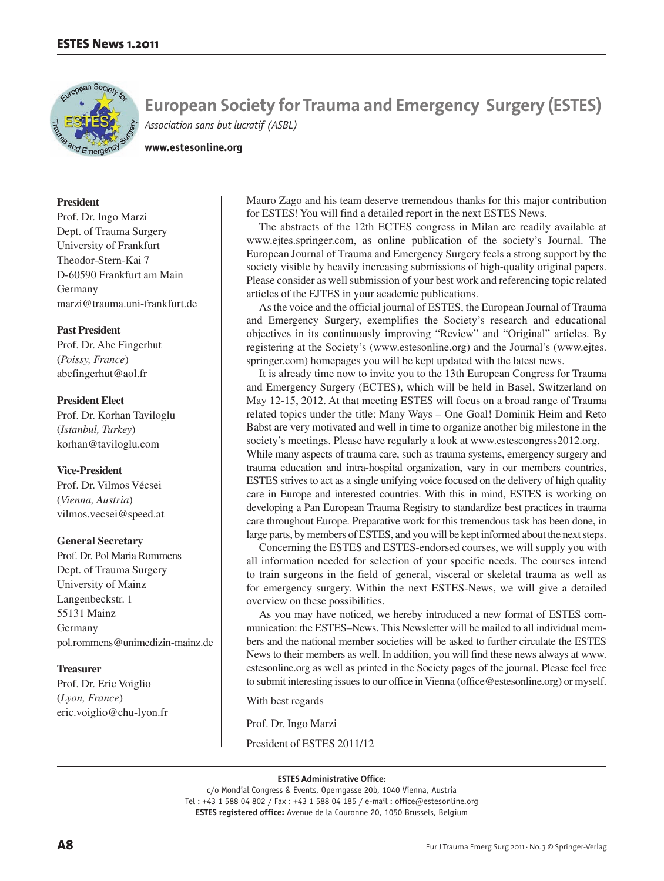

**www.estesonline.org**

# **President**

Prof. Dr. Ingo Marzi Dept. of Trauma Surgery University of Frankfurt Theodor-Stern-Kai 7 D-60590 Frankfurt am Main Germany marzi@trauma.uni-frankfurt.de

# **Past President**

Prof. Dr. Abe Fingerhut (*Poissy, France*) abefingerhut@aol.fr

# **President Elect**

Prof. Dr. Korhan Taviloglu (*Istanbul, Turkey*) korhan@taviloglu.com

# **Vice-President**

Prof. Dr. Vilmos Vécsei (*Vienna, Austria*) vilmos.vecsei@speed.at

# **General Secretary**

Prof. Dr. Pol Maria Rommens Dept. of Trauma Surgery University of Mainz Langenbeckstr. 1 55131 Mainz Germany pol.rommens@unimedizin-mainz.de

# **Treasurer**

Prof. Dr. Eric Voiglio (*Lyon, France*) eric.voiglio@chu-lyon.fr Mauro Zago and his team deserve tremendous thanks for this major contribution for ESTES! You will find a detailed report in the next ESTES News.

The abstracts of the 12th ECTES congress in Milan are readily available at www.ejtes.springer.com, as online publication of the society's Journal. The European Journal of Trauma and Emergency Surgery feels a strong support by the society visible by heavily increasing submissions of high-quality original papers. Please consider as well submission of your best work and referencing topic related articles of the EJTES in your academic publications.

As the voice and the official journal of ESTES, the European Journal of Trauma and Emergency Surgery, exemplifies the Society's research and educational objectives in its continuously improving "Review" and "Original" articles. By registering at the Society's (www.estesonline.org) and the Journal's (www.ejtes. springer.com) homepages you will be kept updated with the latest news.

It is already time now to invite you to the 13th European Congress for Trauma and Emergency Surgery (ECTES), which will be held in Basel, Switzerland on May 12-15, 2012. At that meeting ESTES will focus on a broad range of Trauma related topics under the title: Many Ways – One Goal! Dominik Heim and Reto Babst are very motivated and well in time to organize another big milestone in the society's meetings. Please have regularly a look at www.estescongress2012.org. While many aspects of trauma care, such as trauma systems, emergency surgery and trauma education and intra-hospital organization, vary in our members countries, ESTES strives to act as a single unifying voice focused on the delivery of high quality care in Europe and interested countries. With this in mind, ESTES is working on developing a Pan European Trauma Registry to standardize best practices in trauma

care throughout Europe. Preparative work for this tremendous task has been done, in large parts, by members of ESTES, and you will be kept informed about the next steps. Concerning the ESTES and ESTES-endorsed courses, we will supply you with all information needed for selection of your specific needs. The courses intend to train surgeons in the field of general, visceral or skeletal trauma as well as

for emergency surgery. Within the next ESTES-News, we will give a detailed overview on these possibilities.

As you may have noticed, we hereby introduced a new format of ESTES communication: the ESTES–News. This Newsletter will be mailed to all individual members and the national member societies will be asked to further circulate the ESTES News to their members as well. In addition, you will find these news always at www. estesonline.org as well as printed in the Society pages of the journal. Please feel free to submit interesting issues to our office in Vienna (office@estesonline.org) or myself.

With best regards

Prof. Dr. Ingo Marzi

President of ESTES 2011/12

### **ESTES Administrative Office:**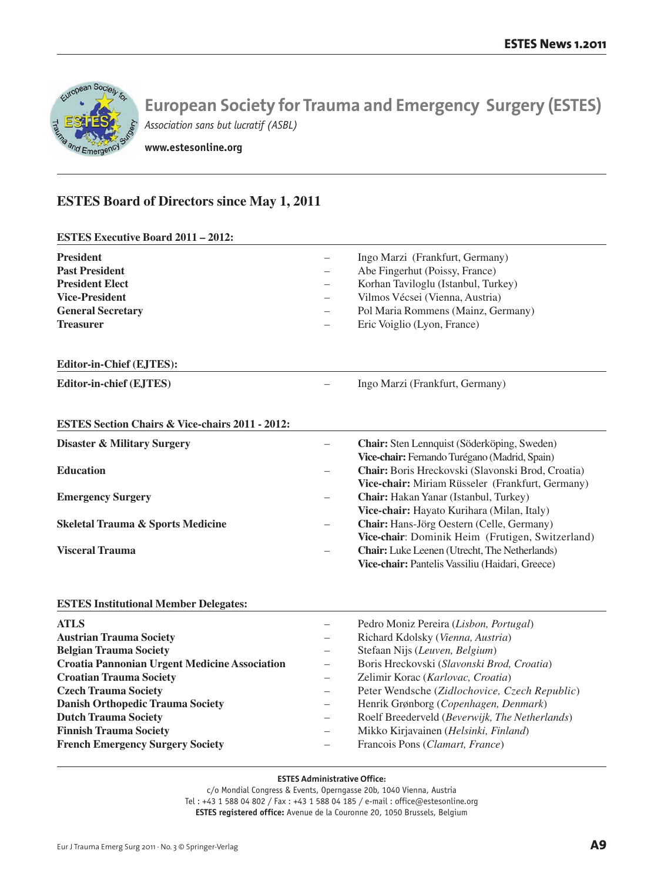

**www.estesonline.org**

# **ESTES Board of Directors since May 1, 2011**

**ESTES Executive Board 2011 – 2012: President Frankfurt, Germany**) **– Frankfurt, Germany**) **– Frankfurt, Germany**) **Past President** – Abe Fingerhut (Poissy, France) **President Elect** – Korhan Taviloglu (Istanbul, Turkey) **Vice-President** – Vilmos Vécsei (Vienna, Austria) **General Secretary** – Pol Maria Rommens (Mainz, Germany) **Treasurer** – Eric Voiglio (Lyon, France) **Editor-in-Chief (EJTES): Editor-in-chief (EJTES)** – Ingo Marzi (Frankfurt, Germany) **ESTES Section Chairs & Vice-chairs 2011 - 2012: Disaster & Military Surgery** – **Chair:** Sten Lennquist (Söderköping, Sweden) **Vice-chair:** Fernando Turégano (Madrid, Spain) **Education** – **Chair:** Boris Hreckovski (Slavonski Brod, Croatia) **Vice-chair:** Miriam Rüsseler (Frankfurt, Germany) **Emergency Surgery** – **Chair:** Hakan Yanar (Istanbul, Turkey) **Vice-chair:** Hayato Kurihara (Milan, Italy) **Skeletal Trauma & Sports Medicine** – **Chair:** Hans-Jörg Oestern (Celle, Germany) **Vice-chair**: Dominik Heim (Frutigen, Switzerland) **Visceral Trauma** – **Chair:** Luke Leenen (Utrecht, The Netherlands) **Vice-chair:** Pantelis Vassiliu (Haidari, Greece) **ESTES Institutional Member Delegates: ATLS** – Pedro Moniz Pereira (*Lisbon, Portugal*) **Austrian Trauma Society** – Richard Kdolsky (*Vienna, Austria*) **Belgian Trauma Society** – Stefaan Nijs (*Leuven, Belgium*) **Croatia Pannonian Urgent Medicine Association** – Boris Hreckovski (*Slavonski Brod, Croatia*) **Croatian Trauma Society** – Zelimir Korac (*Karlovac, Croatia*)

- **Czech Trauma Society** Peter Wendsche (*Zidlochovice, Czech Republic*)
- **Danish Orthopedic Trauma Society**  Henrik Grønborg (*Copenhagen, Denmark*)
- **Dutch Trauma Society**  Roelf Breederveld (*Beverwijk, The Netherlands*)
- **Finnish Trauma Society** Mikko Kirjavainen (*Helsinki, Finland*)
- **French Emergency Surgery Society** Francois Pons (*Clamart, France*)

# **ESTES Administrative Office:**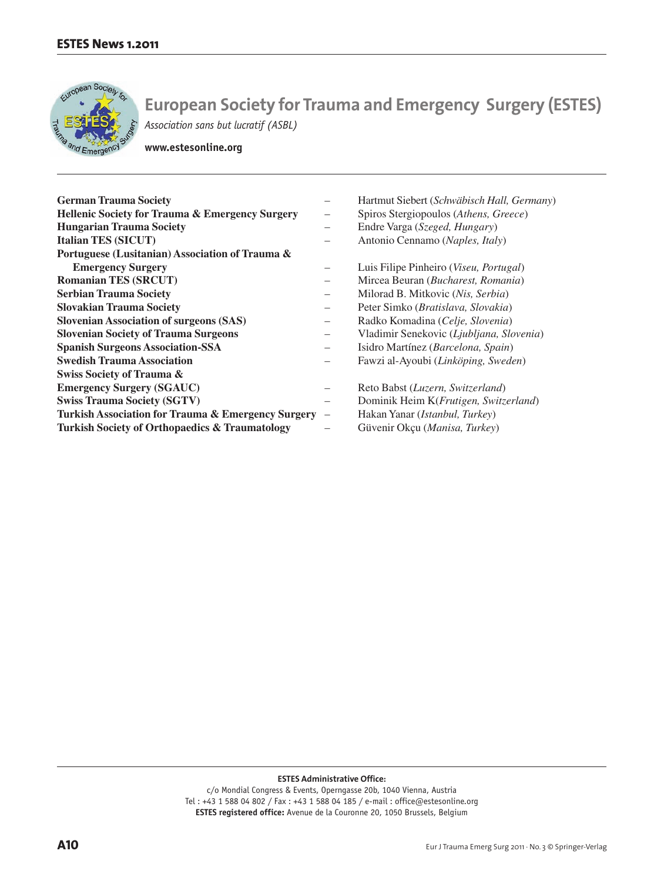

**www.estesonline.org**

| <b>German Trauma Society</b>                               | —                        | Hartmut Siebert (Schwäbisch Hall, Germany)      |
|------------------------------------------------------------|--------------------------|-------------------------------------------------|
| <b>Hellenic Society for Trauma &amp; Emergency Surgery</b> | —                        | Spiros Stergiopoulos (Athens, Greece)           |
| <b>Hungarian Trauma Society</b>                            | -                        | Endre Varga (Szeged, Hungary)                   |
| <b>Italian TES (SICUT)</b>                                 |                          | Antonio Cennamo (Naples, Italy)                 |
| Portuguese (Lusitanian) Association of Trauma &            |                          |                                                 |
| <b>Emergency Surgery</b>                                   |                          | Luis Filipe Pinheiro ( <i>Viseu, Portugal</i> ) |
| <b>Romanian TES (SRCUT)</b>                                |                          | Mircea Beuran (Bucharest, Romania)              |
| <b>Serbian Trauma Society</b>                              | $\overline{\phantom{0}}$ | Milorad B. Mitkovic (Nis, Serbia)               |
| <b>Slovakian Trauma Society</b>                            | —                        | Peter Simko (Bratislava, Slovakia)              |
| <b>Slovenian Association of surgeons (SAS)</b>             | —                        | Radko Komadina (Celje, Slovenia)                |
| <b>Slovenian Society of Trauma Surgeons</b>                | $\overline{\phantom{0}}$ | Vladimir Senekovic (Ljubljana, Slovenia)        |
| <b>Spanish Surgeons Association-SSA</b>                    | —                        | Isidro Martínez (Barcelona, Spain)              |
| <b>Swedish Trauma Association</b>                          | $\overline{\phantom{0}}$ | Fawzi al-Ayoubi (Linköping, Sweden)             |
| <b>Swiss Society of Trauma &amp;</b>                       |                          |                                                 |
| <b>Emergency Surgery (SGAUC)</b>                           | -                        | Reto Babst (Luzern, Switzerland)                |
| <b>Swiss Trauma Society (SGTV)</b>                         | -                        | Dominik Heim K( <i>Frutigen, Switzerland</i> )  |
| Turkish Association for Trauma & Emergency Surgery         | $\qquad \qquad -$        | Hakan Yanar ( <i>Istanbul</i> , <i>Turkey</i> ) |
| <b>Turkish Society of Orthopaedics &amp; Traumatology</b>  |                          | Güvenir Okçu (Manisa, Turkey)                   |

**ESTES Administrative Office:**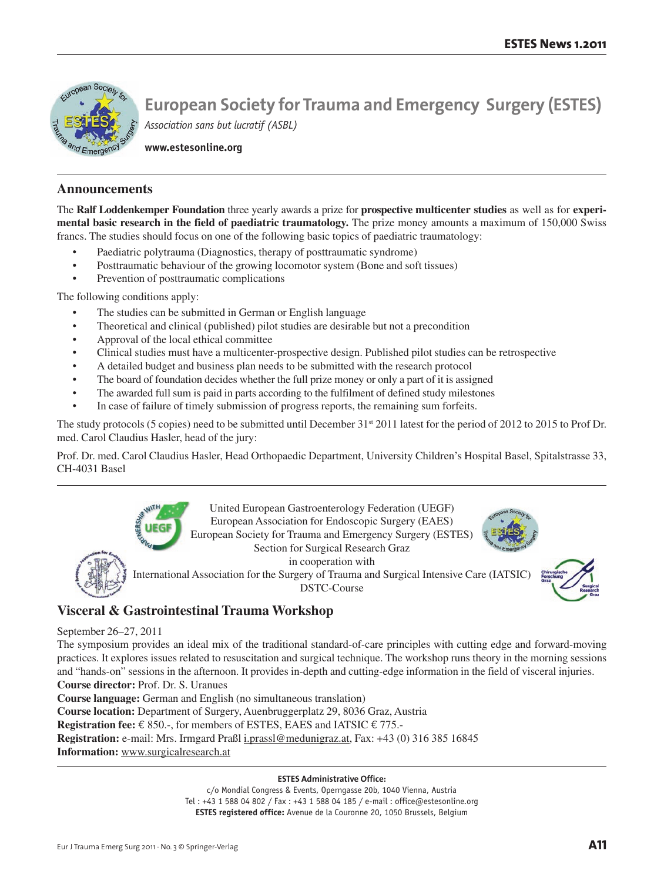

**www.estesonline.org**

# **Announcements**

The **Ralf Loddenkemper Foundation** three yearly awards a prize for **prospective multicenter studies** as well as for **experimental basic research in the field of paediatric traumatology.** The prize money amounts a maximum of 150,000 Swiss francs. The studies should focus on one of the following basic topics of paediatric traumatology:

- Paediatric polytrauma (Diagnostics, therapy of posttraumatic syndrome)
- Posttraumatic behaviour of the growing locomotor system (Bone and soft tissues)
- Prevention of posttraumatic complications

The following conditions apply:

- The studies can be submitted in German or English language
- Theoretical and clinical (published) pilot studies are desirable but not a precondition
- Approval of the local ethical committee
- Clinical studies must have a multicenter-prospective design. Published pilot studies can be retrospective
- A detailed budget and business plan needs to be submitted with the research protocol
- The board of foundation decides whether the full prize money or only a part of it is assigned
- The awarded full sum is paid in parts according to the fulfilment of defined study milestones
- In case of failure of timely submission of progress reports, the remaining sum forfeits.

The study protocols (5 copies) need to be submitted until December 31st 2011 latest for the period of 2012 to 2015 to Prof Dr. med. Carol Claudius Hasler, head of the jury:

Prof. Dr. med. Carol Claudius Hasler, Head Orthopaedic Department, University Children's Hospital Basel, Spitalstrasse 33, CH-4031 Basel



# **Visceral & Gastrointestinal Trauma Workshop**

# September 26–27, 2011

The symposium provides an ideal mix of the traditional standard-of-care principles with cutting edge and forward-moving practices. It explores issues related to resuscitation and surgical technique. The workshop runs theory in the morning sessions and "hands-on" sessions in the afternoon. It provides in-depth and cutting-edge information in the field of visceral injuries.

**Course director:** Prof. Dr. S. Uranues

**Course language:** German and English (no simultaneous translation) **Course location:** Department of Surgery, Auenbruggerplatz 29, 8036 Graz, Austria **Registration fee:** € 850.-, for members of ESTES, EAES and IATSIC € 775.- **Registration:** e-mail: Mrs. Irmgard Praßl i.prassl@medunigraz.at, Fax: +43 (0) 316 385 16845 **Information:** www.surgicalresearch.at

# **ESTES Administrative Office:**